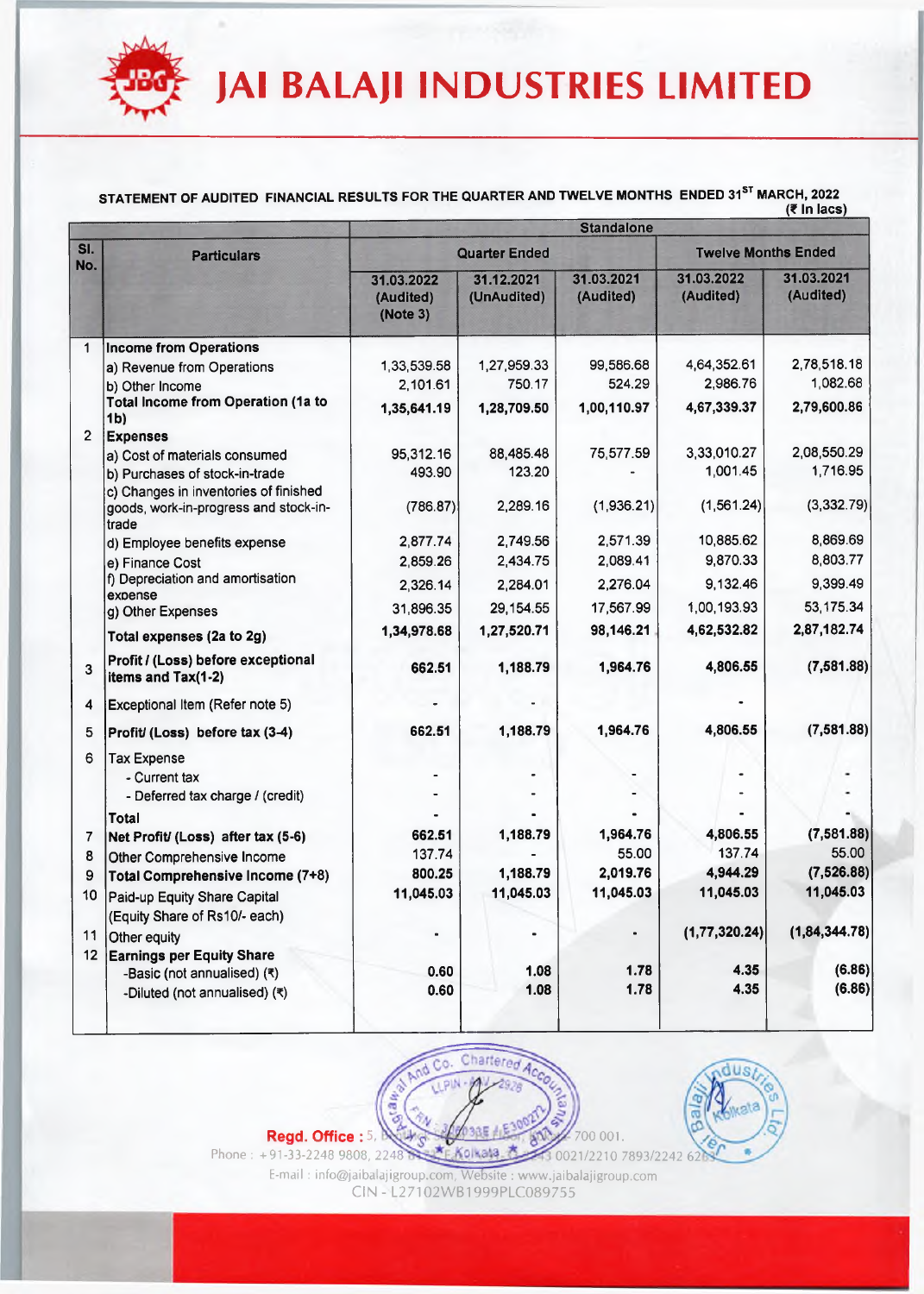

#### **STATEM EN T OF AUDITED FIN AN CIAL R E S U L T S FO R TH E Q U ARTER AND TW ELV E MONTHS ENDED 31st MARCH, 2022 \_\_\_\_\_\_\_\_\_\_\_\_\_\_\_\_\_\_\_\_\_\_(? In lacs)**

|                |                                                                                         | <b>Standalone</b>                   |                           |                            |                         |                         |  |  |
|----------------|-----------------------------------------------------------------------------------------|-------------------------------------|---------------------------|----------------------------|-------------------------|-------------------------|--|--|
| SI.<br>No.     | <b>Particulars</b>                                                                      |                                     | <b>Quarter Ended</b>      | <b>Twelve Months Ended</b> |                         |                         |  |  |
|                |                                                                                         | 31.03.2022<br>(Audited)<br>(Note 3) | 31.12.2021<br>(UnAudited) | 31.03.2021<br>(Audited)    | 31.03.2022<br>(Audited) | 31.03.2021<br>(Audited) |  |  |
| 1              | <b>Income from Operations</b>                                                           |                                     |                           |                            |                         |                         |  |  |
|                | a) Revenue from Operations                                                              | 1,33,539.58                         | 1,27,959.33               | 99,586.68                  | 4,64,352.61             | 2,78,518.18             |  |  |
|                | b) Other Income                                                                         | 2,101.61                            | 750.17                    | 524.29                     | 2,986.76                | 1,082.68                |  |  |
|                | Total Income from Operation (1a to<br>1 <sub>b</sub>                                    | 1,35,641.19                         | 1,28,709.50               | 1,00,110.97                | 4,67,339.37             | 2,79,600.86             |  |  |
| $\overline{2}$ | <b>Expenses</b>                                                                         |                                     |                           |                            |                         |                         |  |  |
|                | a) Cost of materials consumed                                                           | 95,312.16                           | 88,485.48                 | 75,577.59                  | 3,33,010.27             | 2,08,550.29             |  |  |
|                | b) Purchases of stock-in-trade                                                          | 493.90                              | 123.20                    |                            | 1,001.45                | 1,716.95                |  |  |
|                | c) Changes in inventories of finished<br>goods, work-in-progress and stock-in-<br>trade | (786.87)                            | 2,289.16                  | (1,936.21)                 | (1, 561.24)             | (3,332.79)              |  |  |
|                | d) Employee benefits expense                                                            | 2,877.74                            | 2,749.56                  | 2,571.39                   | 10,885.62               | 8,869.69                |  |  |
|                | e) Finance Cost                                                                         | 2,859.26                            | 2,434.75                  | 2,089.41                   | 9,870.33                | 8,803.77                |  |  |
|                | f) Depreciation and amortisation                                                        | 2,326.14                            | 2,284.01                  | 2,276.04                   | 9,132.46                | 9,399.49                |  |  |
|                | expense<br>g) Other Expenses                                                            | 31,896.35                           | 29,154.55                 | 17,567.99                  | 1,00,193.93             | 53, 175.34              |  |  |
|                | Total expenses (2a to 2g)                                                               | 1,34,978.68                         | 1,27,520.71               | 98,146.21                  | 4,62,532.82             | 2,87,182.74             |  |  |
|                |                                                                                         |                                     |                           |                            |                         |                         |  |  |
| 3              | Profit / (Loss) before exceptional<br>items and Tax(1-2)                                | 662.51                              | 1,188.79                  | 1,964.76                   | 4,806.55                | (7, 581.88)             |  |  |
| 4              | Exceptional Item (Refer note 5)                                                         |                                     |                           |                            |                         |                         |  |  |
| 5              | Profit/ (Loss) before tax (3-4)                                                         | 662.51                              | 1,188.79                  | 1,964.76                   | 4,806.55                | (7, 581.88)             |  |  |
| 6              | <b>Tax Expense</b>                                                                      |                                     |                           |                            |                         |                         |  |  |
|                | - Current tax                                                                           |                                     |                           |                            |                         |                         |  |  |
|                | - Deferred tax charge / (credit)                                                        |                                     |                           |                            |                         |                         |  |  |
|                | Total                                                                                   |                                     |                           |                            |                         |                         |  |  |
| 7              | Net Profit/ (Loss) after tax (5-6)                                                      | 662.51                              | 1,188.79                  | 1,964.76                   | 4,806.55                | (7,581.88)              |  |  |
| 8              | Other Comprehensive Income                                                              | 137.74                              |                           | 55.00                      | 137.74                  | 55.00                   |  |  |
| 9              | Total Comprehensive Income (7+8)                                                        | 800.25                              | 1,188.79                  | 2,019.76                   | 4,944.29                | (7,526.88)              |  |  |
| 10             | Paid-up Equity Share Capital                                                            | 11,045.03                           | 11,045.03                 | 11,045.03                  | 11,045.03               | 11,045.03               |  |  |
|                | (Equity Share of Rs10/- each)                                                           |                                     |                           |                            |                         |                         |  |  |
| 11             | Other equity                                                                            | $\blacksquare$                      |                           |                            | (1, 77, 320.24)         | (1, 84, 344.78)         |  |  |
| 12             | <b>Earnings per Equity Share</b>                                                        |                                     |                           |                            |                         |                         |  |  |
|                | -Basic (not annualised) (₹)                                                             | 0.60                                | 1.08                      | 1.78                       | 4.35                    | (6.86)<br>(6.86)        |  |  |
|                | -Diluted (not annualised) (₹)                                                           | 0.60                                | 1.08                      | 1.78                       | 4.35                    |                         |  |  |





Phone : +91-33-2248 9808, 2248' E-mail : [info@jaibalajigroup.com,](mailto:info@jaibalajigroup.com) Website : [www.jaibalajigroup.com](http://www.jaibalajigroup.com) 0021/2210 7893/2242 62

CIN - L27102WB1999PLC089755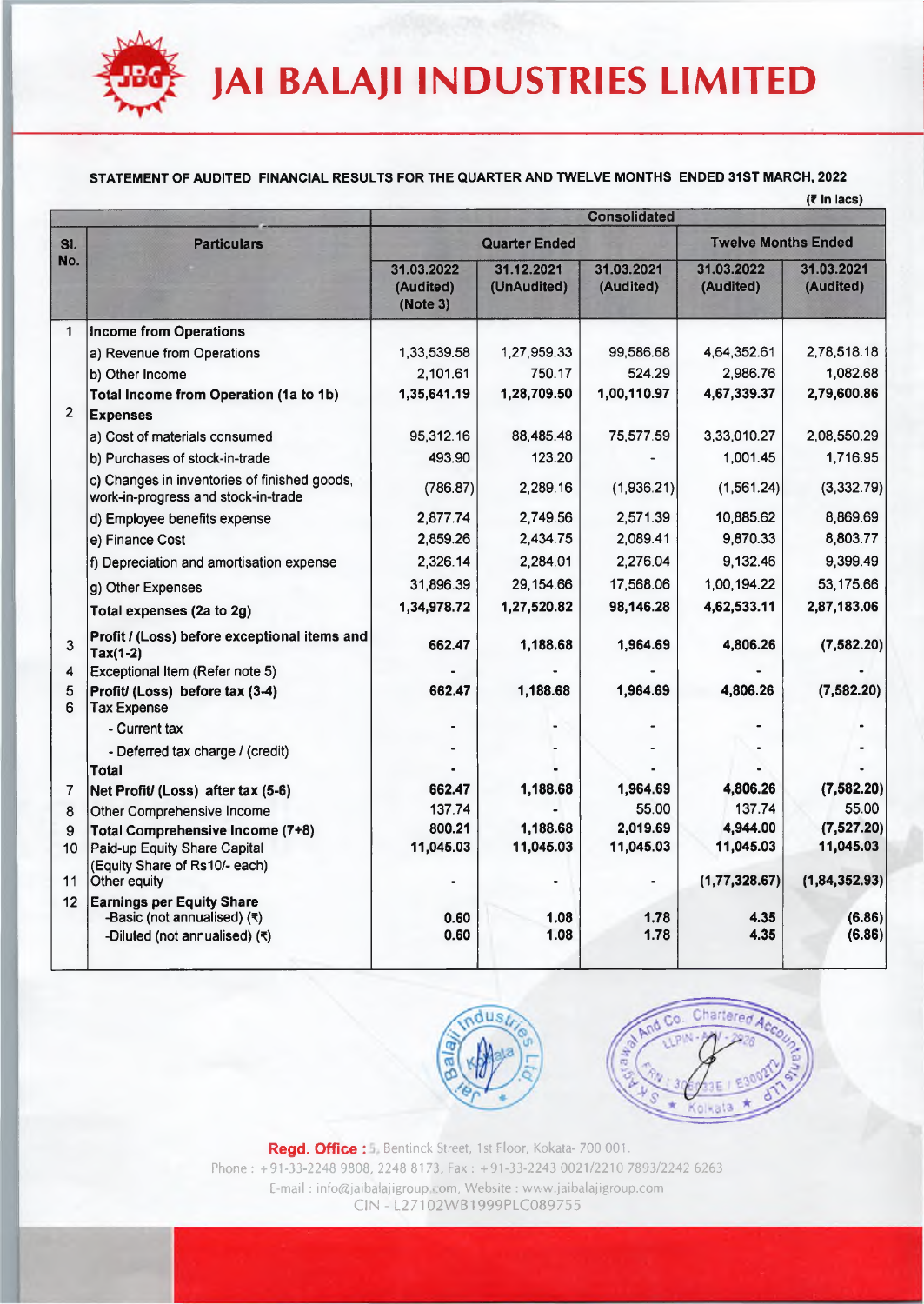#### STATEMENT OF AUDITED FINANCIAL RESULTS FOR THE QUARTER AND TWELVE MONTHS ENDED 31ST MARCH, 2022

| $(5 \ln \text{lacs})$ |  |
|-----------------------|--|
|-----------------------|--|

|                 |                                                                                     |                                     |                           |                         |                            | (Tin lacs)              |  |
|-----------------|-------------------------------------------------------------------------------------|-------------------------------------|---------------------------|-------------------------|----------------------------|-------------------------|--|
|                 |                                                                                     | <b>Consolidated</b>                 |                           |                         |                            |                         |  |
| SI.             | <b>Particulars</b>                                                                  | <b>Quarter Ended</b>                |                           |                         | <b>Twelve Months Ended</b> |                         |  |
| No.             |                                                                                     | 31.03.2022<br>(Audited)<br>(Note 3) | 31.12.2021<br>(UnAudited) | 31.03.2021<br>(Audited) | 31.03.2022<br>(Audited)    | 31.03.2021<br>(Audited) |  |
| $\mathbf{1}$    | <b>Income from Operations</b>                                                       |                                     |                           |                         |                            |                         |  |
|                 | a) Revenue from Operations                                                          | 1,33,539.58                         | 1,27,959.33               | 99,586.68               | 4,64,352.61                | 2,78,518.18             |  |
|                 | b) Other Income                                                                     | 2,101.61                            | 750.17                    | 524.29                  | 2,986.76                   | 1,082.68                |  |
|                 | Total Income from Operation (1a to 1b)                                              | 1,35,641.19                         | 1,28,709.50               | 1,00,110.97             | 4,67,339.37                | 2,79,600.86             |  |
| $\overline{2}$  | <b>Expenses</b>                                                                     |                                     |                           |                         |                            |                         |  |
|                 | a) Cost of materials consumed                                                       | 95,312.16                           | 88,485.48                 | 75,577.59               | 3,33,010.27                | 2,08,550.29             |  |
|                 | b) Purchases of stock-in-trade                                                      | 493.90                              | 123.20                    |                         | 1,001.45                   | 1,716.95                |  |
|                 | c) Changes in inventories of finished goods,<br>work-in-progress and stock-in-trade | (786.87)                            | 2,289.16                  | (1,936.21)              | (1,561.24)                 | (3,332.79)              |  |
|                 | d) Employee benefits expense                                                        | 2,877.74                            | 2,749.56                  | 2,571.39                | 10,885.62                  | 8,869.69                |  |
|                 | e) Finance Cost                                                                     | 2,859.26                            | 2,434.75                  | 2,089.41                | 9,870.33                   | 8,803.77                |  |
|                 | f) Depreciation and amortisation expense                                            | 2,326.14                            | 2,284.01                  | 2,276.04                | 9,132.46                   | 9,399.49                |  |
|                 | g) Other Expenses                                                                   | 31,896.39                           | 29,154.66                 | 17,568.06               | 1,00,194.22                | 53,175.66               |  |
|                 | Total expenses (2a to 2g)                                                           | 1,34,978.72                         | 1,27,520.82               | 98,146.28               | 4,62,533.11                | 2,87,183.06             |  |
| 3               | Profit / (Loss) before exceptional items and<br>$Tax(1-2)$                          | 662.47                              | 1,188.68                  | 1,964.69                | 4,806.26                   | (7,582.20)              |  |
| 4               | Exceptional Item (Refer note 5)                                                     |                                     |                           |                         |                            |                         |  |
| 5<br>6          | Profit/ (Loss) before tax (3-4)<br><b>Tax Expense</b>                               | 662.47                              | 1,188.68                  | 1,964.69                | 4,806.26                   | (7, 582.20)             |  |
|                 | - Current tax                                                                       |                                     |                           |                         |                            |                         |  |
|                 | - Deferred tax charge / (credit)                                                    |                                     |                           |                         |                            |                         |  |
|                 | Total                                                                               |                                     |                           |                         |                            |                         |  |
| 7               | Net Profit/ (Loss) after tax (5-6)                                                  | 662.47                              | 1,188.68                  | 1,964.69                | 4,806.26                   | (7, 582.20)             |  |
| 8               | Other Comprehensive Income                                                          | 137.74                              |                           | 55.00                   | 137.74                     | 55.00                   |  |
| 9               | Total Comprehensive Income (7+8)                                                    | 800.21                              | 1,188.68                  | 2,019.69                | 4,944.00                   | (7,527.20)              |  |
| 10 <sub>1</sub> | Paid-up Equity Share Capital<br>(Equity Share of Rs10/- each)                       | 11,045.03                           | 11,045.03                 | 11,045.03               | 11,045.03                  | 11,045.03               |  |
| 11              | Other equity                                                                        |                                     |                           |                         | (1, 77, 328.67)            | (1, 84, 352.93)         |  |
| 12 <sup>°</sup> | <b>Earnings per Equity Share</b><br>-Basic (not annualised) (₹)                     | 0.60                                | 1.08                      | 1.78                    | 4.35                       | (6.86)                  |  |
|                 | -Diluted (not annualised) (₹)                                                       | 0.60                                | 1.08                      | 1.78                    | 4.35                       | (6.86)                  |  |





Regd. Office : 5. Bentinck Street, 1st Floor, Kokata- 700 001. Phone : +91-33-2248 9808, 2248 8173, Fax : +91-33-2243 0021/2210 7893/2242 6263 E-mail : [info@jaibalajigroup.com,](mailto:info@jaibalajigroup.com) Website : [www.jaibalajigroup.com](http://www.jaibalajigroup.com) CIN - L27102WB1999PLC089755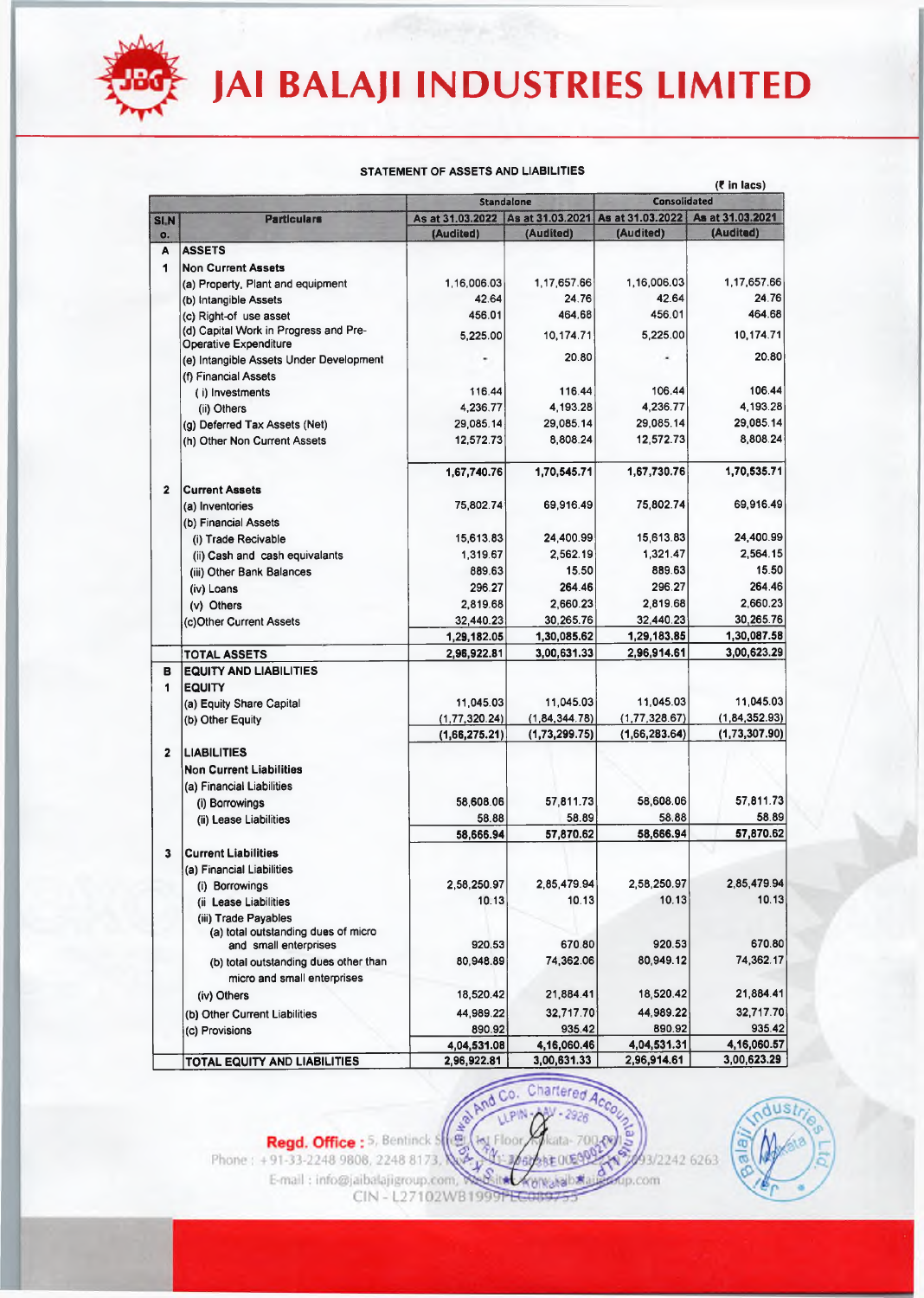

#### **STATEMENT OF ASSETS AND LIABILITIES**

|                         | Standalone                                                            |                                     | $(1 \text{ m} \cdot \text{m} \cdot \text{m})$<br>Consolidated |                  |                  |
|-------------------------|-----------------------------------------------------------------------|-------------------------------------|---------------------------------------------------------------|------------------|------------------|
| <b>SLN</b>              | <b>Particulars</b>                                                    | As at 31.03.2022   As at 31.03.2021 |                                                               | As at 31.03.2022 | As at 31.03.2021 |
| o.                      |                                                                       | (Audited)                           | (Audited)                                                     | (Audited)        | (Audited)        |
| A                       | <b>ASSETS</b>                                                         |                                     |                                                               |                  |                  |
| 1                       | <b>Non Current Assets</b>                                             |                                     |                                                               |                  |                  |
|                         | (a) Property, Plant and equipment                                     | 1,16,006.03                         | 1,17,657.66                                                   | 1,16,006.03      | 1,17,657.66      |
|                         | (b) Intangible Assets                                                 | 42.64                               | 24.76                                                         | 42.64            | 24.76            |
|                         | (c) Right-of use asset                                                | 456.01                              | 464.68                                                        | 456.01           | 464.68           |
|                         | (d) Capital Work in Progress and Pre-<br><b>Operative Expenditure</b> | 5,225.00                            | 10,174.71                                                     | 5,225.00         | 10,174.71        |
|                         | (e) Intangible Assets Under Development                               |                                     | 20.80                                                         |                  | 20.80            |
|                         | (f) Financial Assets                                                  |                                     |                                                               |                  |                  |
|                         | (i) Investments                                                       | 116.44                              | 116.44                                                        | 106.44           | 106.44           |
|                         | (ii) Others                                                           | 4,236.77                            | 4.193.28                                                      | 4,236.77         | 4,193.28         |
|                         | (g) Deferred Tax Assets (Net)                                         | 29,085.14                           | 29,085.14                                                     | 29,085.14        | 29,085.14        |
|                         | (h) Other Non Current Assets                                          | 12,572.73                           | 8,808.24                                                      | 12,572.73        | 8.808.24         |
|                         |                                                                       | 1,67,740.76                         | 1,70,545.71                                                   | 1,67,730.76      | 1,70,535.71      |
| $\mathbf{2}$            | <b>Current Assets</b>                                                 |                                     |                                                               |                  |                  |
|                         | (a) Inventories                                                       | 75,802.74                           | 69,916.49                                                     | 75,802.74        | 69,916.49        |
|                         | (b) Financial Assets                                                  |                                     |                                                               |                  |                  |
|                         | (i) Trade Recivable                                                   | 15,613.83                           | 24,400.99                                                     | 15,613.83        | 24,400.99        |
|                         | (ii) Cash and cash equivalants                                        | 1,319.67                            | 2,562.19                                                      | 1,321.47         | 2,564.15         |
|                         | (iii) Other Bank Balances                                             | 889.63                              | 15.50                                                         | 889.63           | 15.50            |
|                         | (iv) Loans                                                            | 296.27                              | 264.46                                                        | 296.27           | 264.46           |
|                         | (v) Others                                                            | 2,819.68                            | 2,660.23                                                      | 281968           | 2,660.23         |
|                         | (c) Other Current Assets                                              | 32,440.23                           | 30,265.76                                                     | 32,440.23        | 30,265.76        |
|                         |                                                                       | 1,29,182.05                         | 1,30,085.62                                                   | 1,29,183.85      | 1,30,087.58      |
|                         | <b>TOTAL ASSETS</b>                                                   | 2,96,922.81                         | 3,00,631.33                                                   | 2,96,914.61      | 3,00,623.29      |
| в                       | <b>EQUITY AND LIABILITIES</b>                                         |                                     |                                                               |                  |                  |
| 1                       | <b>EQUITY</b>                                                         |                                     |                                                               |                  |                  |
|                         | (a) Equity Share Capital                                              | 11,045.03                           | 11,045.03                                                     | 11.045.03        | 11,045.03        |
|                         | (b) Other Equity                                                      | (1, 77, 320.24)                     | (1, 84, 344.78)                                               | (1, 77, 328.67)  | (1, 84, 352.93)  |
|                         |                                                                       | (1,66,275.21)                       | (1,73,299.75)                                                 | (1,66,283.64)    | (1,73,307.90)    |
| $\overline{\mathbf{2}}$ | <b>LIABILITIES</b>                                                    |                                     |                                                               |                  |                  |
|                         | <b>Non Current Liabilities</b>                                        |                                     |                                                               |                  |                  |
|                         | (a) Financial Liabilities                                             |                                     |                                                               |                  |                  |
|                         | (i) Borrowings                                                        | 58,608.06                           | 57,811.73                                                     | 58,608.06        | 57,811.73        |
|                         | (ii) Lease Liabilities                                                | 58.88                               | 58.89                                                         | 58.88            | 58.89            |
|                         |                                                                       | 58,666.94                           | 57,870.62                                                     | 58,666.94        | 57,870.62        |
| 3                       | <b>Current Liabilities</b>                                            |                                     |                                                               |                  |                  |
|                         | (a) Financial Liabilities                                             |                                     |                                                               |                  |                  |
|                         | (i) Borrowings                                                        | 2,58,250.97                         | 2,85,479.94                                                   | 2,58,250.97      | 2,85,479.94      |
|                         | (ii Lease Liabilities                                                 | 10.13                               | 10.13                                                         | 10.13            | 10.13            |
|                         | (iii) Trade Payables                                                  |                                     |                                                               |                  |                  |
|                         | (a) total outstanding dues of micro                                   |                                     |                                                               |                  |                  |
|                         | and small enterprises                                                 | 920.53                              | 670.80                                                        | 920.53           | 670.80           |
|                         | (b) total outstanding dues other than                                 | 80,948.89                           | 74,362.06                                                     | 80,949.12        | 74,362.17        |
|                         | micro and small enterprises                                           |                                     |                                                               |                  |                  |
|                         | (iv) Others                                                           | 18,520.42                           | 21,884.41                                                     | 18,520.42        | 21,884.41        |
|                         | (b) Other Current Liabilities                                         | 44,989.22                           | 32,717.70                                                     | 44,989.22        | 32,717.70        |
|                         | (c) Provisions                                                        | 890.92                              | 935.42                                                        | 890.92           | 935.42           |
|                         |                                                                       | 4,04,531.08                         | 4,16,060.46                                                   | 4,04,531.31      | 4,16,060.57      |
|                         | TOTAL EQUITY AND LIABILITIES                                          | 2,96,922.81                         | 3,00,631.33                                                   | 2,96,914.61      | 3,00,623.29      |

Chartered



**(? in lacs)**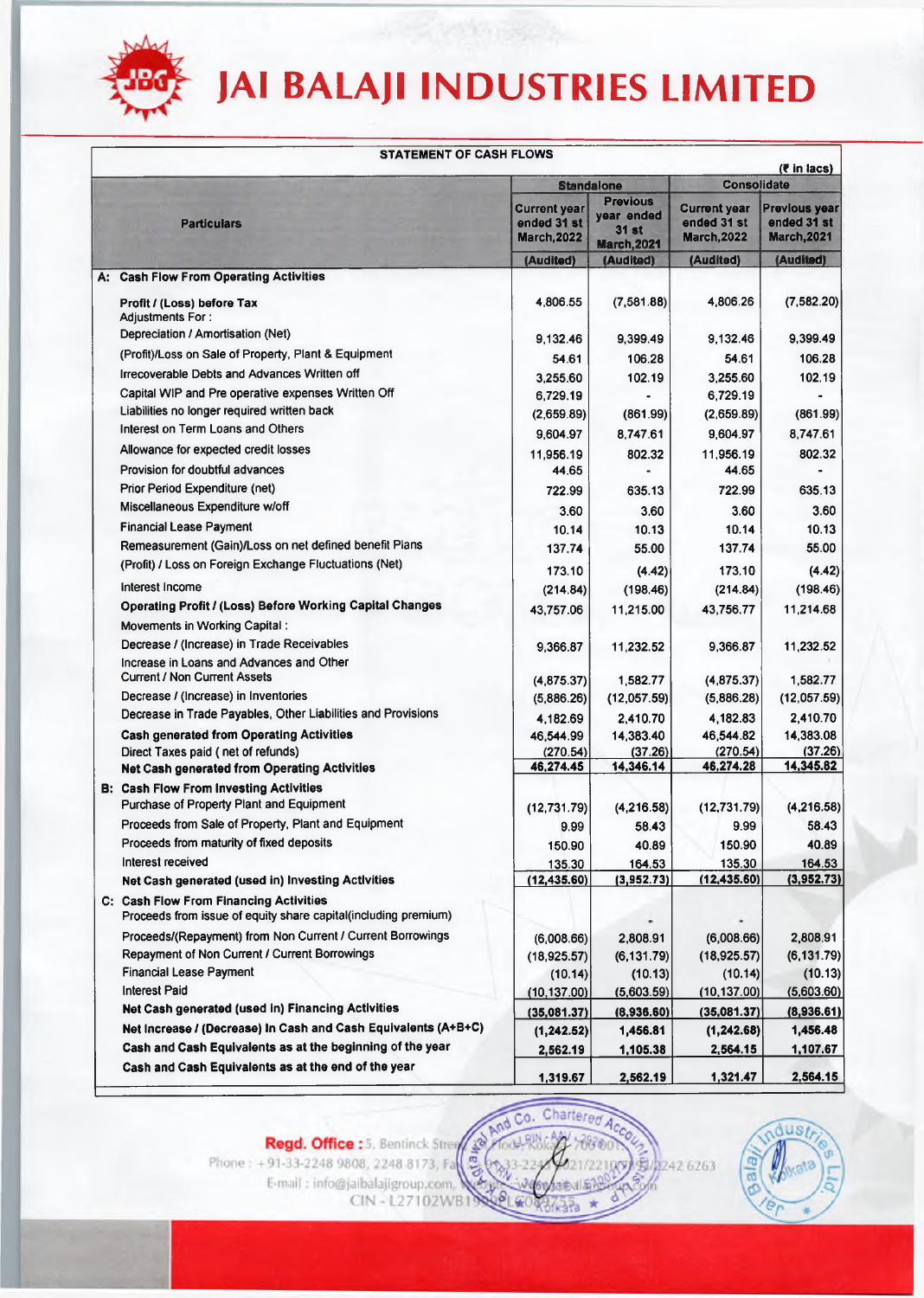

|                                                                                  | <b>STATEMENT OF CASH FLOWS</b>                                 |                                                          |                                                                     |                                                          |                                                           |  |
|----------------------------------------------------------------------------------|----------------------------------------------------------------|----------------------------------------------------------|---------------------------------------------------------------------|----------------------------------------------------------|-----------------------------------------------------------|--|
|                                                                                  |                                                                |                                                          | <b>Standalone</b>                                                   | ( $\bar{\epsilon}$ in lacs)<br>Consolidate               |                                                           |  |
| <b>Particulars</b>                                                               |                                                                | <b>Current year</b><br>ended 31 st<br><b>March, 2022</b> | <b>Previous</b><br>year ended<br><b>31 st</b><br><b>March, 2021</b> | <b>Current year</b><br>ended 31 st<br><b>March, 2022</b> | <b>Previous year</b><br>ended 31 st<br><b>March, 2021</b> |  |
|                                                                                  |                                                                | (Audited)                                                | (Audited)                                                           | (Audited)                                                | (Audited)                                                 |  |
| A: Cash Flow From Operating Activities                                           |                                                                |                                                          |                                                                     |                                                          |                                                           |  |
| Profit / (Loss) before Tax                                                       |                                                                | 4,806.55                                                 | (7,581.88)                                                          | 4,806.26                                                 | (7,582.20)                                                |  |
| <b>Adjustments For:</b>                                                          |                                                                |                                                          |                                                                     |                                                          |                                                           |  |
| Depreciation / Amortisation (Net)                                                |                                                                | 9,132.46                                                 | 9,399.49                                                            | 9.132.46                                                 | 9,399.49                                                  |  |
| (Profit)/Loss on Sale of Property, Plant & Equipment                             |                                                                | 54.61                                                    | 106.28                                                              | 54.61                                                    | 106.28                                                    |  |
| Irrecoverable Debts and Advances Written off                                     |                                                                | 3,255.60                                                 | 102.19                                                              | 3,255.60                                                 | 102.19                                                    |  |
| Capital WIP and Pre operative expenses Written Off                               |                                                                | 6,729.19                                                 |                                                                     | 6,729.19                                                 |                                                           |  |
| Liabilities no longer required written back<br>Interest on Term Loans and Others |                                                                | (2,659.89)                                               | (861.99)                                                            | (2,659.89)                                               | (861.99)                                                  |  |
|                                                                                  |                                                                | 9,604.97                                                 | 8,747.61                                                            | 9,604.97                                                 | 8,747.61                                                  |  |
| Allowance for expected credit losses                                             |                                                                | 11,956.19                                                | 802.32                                                              | 11,956.19                                                | 802.32                                                    |  |
| Provision for doubtful advances                                                  |                                                                | 44.65                                                    |                                                                     | 44.65                                                    |                                                           |  |
| Prior Period Expenditure (net)                                                   |                                                                | 722.99                                                   | 635.13                                                              | 722.99                                                   | 635.13                                                    |  |
| Miscellaneous Expenditure w/off                                                  |                                                                | 3.60                                                     | 3.60                                                                | 3.60                                                     | 3.60                                                      |  |
| <b>Financial Lease Payment</b>                                                   |                                                                | 10.14                                                    | 10.13                                                               | 10.14                                                    | 10.13                                                     |  |
| Remeasurement (Gain)/Loss on net defined benefit Plans                           |                                                                | 137,74                                                   | 55.00                                                               | 137.74                                                   | 55.00                                                     |  |
| (Profit) / Loss on Foreign Exchange Fluctuations (Net)                           |                                                                | 173.10                                                   | (4.42)                                                              | 173.10                                                   | (4.42)                                                    |  |
| interest Income                                                                  |                                                                | (214.84)                                                 | (198.46)                                                            | (214.84)                                                 | (198.46)                                                  |  |
| Operating Profit / (Loss) Before Working Capital Changes                         |                                                                | 43,757.06                                                | 11,215.00                                                           | 43,756.77                                                | 11,214.68                                                 |  |
| Movements in Working Capital:                                                    |                                                                |                                                          |                                                                     |                                                          |                                                           |  |
| Decrease / (Increase) in Trade Receivables                                       |                                                                | 9,366.87                                                 | 11,232.52                                                           | 9,366.87                                                 | 11,232.52                                                 |  |
| Increase in Loans and Advances and Other<br><b>Current / Non Current Assets</b>  |                                                                |                                                          |                                                                     |                                                          |                                                           |  |
| Decrease / (Increase) in Inventories                                             |                                                                | (4,875.37)                                               | 1,582.77                                                            | (4,875.37)                                               | 1,582.77                                                  |  |
| Decrease in Trade Payables, Other Liabilities and Provisions                     |                                                                | (5,886.26)                                               | (12,057.59)                                                         | (5,886.28)                                               | (12,057.59)                                               |  |
| <b>Cash generated from Operating Activities</b>                                  |                                                                | 4,182.69                                                 | 2,410.70                                                            | 4,182.83                                                 | 2,410.70<br>14,383.08                                     |  |
| Direct Taxes paid (net of refunds)                                               |                                                                | 46,544.99<br>(270.54)                                    | 14,383.40<br>(37.26)                                                | 46,544.82<br>(270.54)                                    | (37.26)                                                   |  |
| <b>Net Cash generated from Operating Activities</b>                              |                                                                | 46,274.45                                                | 14,346.14                                                           | 46,274.28                                                | 14,345.82                                                 |  |
| <b>B: Cash Flow From Investing Activities</b>                                    |                                                                |                                                          |                                                                     |                                                          |                                                           |  |
| Purchase of Property Plant and Equipment                                         |                                                                | (12,731.79)                                              | (4, 216.58)                                                         | (12, 731.79)                                             | (4,216.58)                                                |  |
| Proceeds from Sale of Property, Plant and Equipment                              |                                                                | 9.99                                                     | 58.43                                                               | 9.99                                                     | 58.43                                                     |  |
| Proceeds from maturity of fixed deposits                                         |                                                                | 150.90                                                   | 40.89                                                               | 150.90                                                   | 40.89                                                     |  |
| Interest received                                                                |                                                                | 135.30                                                   | 164.53                                                              | 135.30                                                   | 164.53                                                    |  |
| Net Cash generated (used in) Investing Activities                                |                                                                | (12, 435.60)                                             | (3,952.73)                                                          | (12, 435.60)                                             | (3,952.73)                                                |  |
| C: Cash Flow From Financing Activities                                           |                                                                |                                                          |                                                                     |                                                          |                                                           |  |
|                                                                                  | Proceeds from issue of equity share capital(including premium) |                                                          |                                                                     |                                                          |                                                           |  |
|                                                                                  | Proceeds/(Repayment) from Non Current / Current Borrowings     | (6,008.66)                                               | 2,808.91                                                            | (6,008.66)                                               | 2,808.91                                                  |  |
| Repayment of Non Current / Current Borrowings                                    |                                                                | (18.925.57)                                              | (6, 131.79)                                                         | (18, 925.57)                                             | (6, 131.79)                                               |  |
| <b>Financial Lease Payment</b>                                                   |                                                                | (10.14)                                                  | (10.13)                                                             | (10.14)                                                  | (10.13)                                                   |  |
| <b>Interest Paid</b>                                                             |                                                                | (10, 137.00)                                             | (5,603.59)                                                          | (10, 137.00)                                             | (5,603.60)                                                |  |
| Net Cash generated (used in) Financing Activities                                |                                                                | (35,081.37)                                              | (8,936.60)                                                          | (35,081.37)                                              | (8,936.61)                                                |  |
|                                                                                  | Net Increase / (Decrease) In Cash and Cash Equivalents (A+B+C) | (1, 242.52)                                              | 1,456.81                                                            | (1, 242.68)                                              | 1,456.48                                                  |  |
|                                                                                  | Cash and Cash Equivalents as at the beginning of the year      | 2,562.19                                                 | 1,105.38                                                            | 2,564.15                                                 | 1,107.67                                                  |  |
| Cash and Cash Equivalents as at the end of the year                              |                                                                | 1,319.67                                                 | 2,562.19                                                            | 1,321.47                                                 | 2,564.15                                                  |  |